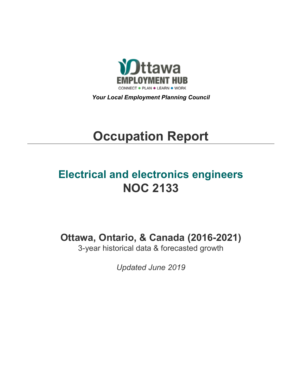

*Your Local Employment Planning Council*

# **Occupation Report**

# **Electrical and electronics engineers NOC 2133**

**Ottawa, Ontario, & Canada (2016-2021)**

3-year historical data & forecasted growth

*Updated June 2019*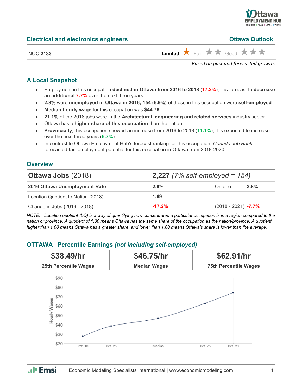

#### **Ottawa Outlook**

NOC 2133 **Limited**  $\overrightarrow{X}$  Fair  $\overrightarrow{X}$  Good  $\overrightarrow{X}$   $\overrightarrow{X}$ 

*Based on past and forecasted growth.*

#### **A Local Snapshot**

- Employment in this occupation **declined in Ottawa from 2016 to 2018** (**17.2%**); it is forecast to **decrease an additional 7.7%** over the next three years.
- **2.8%** were **unemployed in Ottawa in 2016; 154 (6.9%)** of those in this occupation were **self-employed**.
- **Median hourly wage** for this occupation was **\$44.78**.
- **21.1%** of the 2018 jobs were in the **Architectural, engineering and related services** industry sector.
- Ottawa has a **higher share of this occupation** than the nation.
- **Provincially**, this occupation showed an increase from 2016 to 2018 (**11.1%**); it is expected to increase over the next three years (**6.7%**).
- In contrast to Ottawa Employment Hub's forecast ranking for this occupation, *Canada Job Bank*  forecasted **fair** employment potential for this occupation in Ottawa from 2018-2020.

#### **Overview**

| <b>Ottawa Jobs (2018)</b>          |          | <b>2,227</b> (7% self-employed = $154$ ) |      |  |  |
|------------------------------------|----------|------------------------------------------|------|--|--|
| 2016 Ottawa Unemployment Rate      | 2.8%     | Ontario                                  | 3.8% |  |  |
| Location Quotient to Nation (2018) | 1.69     |                                          |      |  |  |
| Change in Jobs (2016 - 2018)       | $-17.2%$ | $(2018 - 2021)$ -7.7%                    |      |  |  |

*NOTE: Location quotient (LQ) is a way of quantifying how concentrated a particular occupation is in a region compared to the nation or province. A quotient of 1.00 means Ottawa has the same share of the occupation as the nation/province. A quotient higher than 1.00 means Ottawa has a greater share, and lower than 1.00 means Ottawa's share is lower than the average.*

## **OTTAWA | Percentile Earnings** *(not including self-employed)*



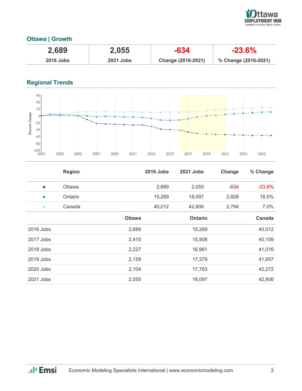

## **Ottawa | Growth**

| 2,689            | 2,055            | $-634$             | $-23.6\%$            |
|------------------|------------------|--------------------|----------------------|
| <b>2016 Jobs</b> | <b>2021 Jobs</b> | Change (2016-2021) | % Change (2016-2021) |

# **Regional Trends**



|             | <b>Region</b> |               | <b>2016 Jobs</b> | 2021 Jobs | Change | % Change |
|-------------|---------------|---------------|------------------|-----------|--------|----------|
| $\bullet$   | Ottawa        |               | 2,689            | 2,055     | $-634$ | $-23.6%$ |
| $\bullet$   | Ontario       |               | 15,269           | 18,097    | 2,828  | 18.5%    |
| $\bullet$   | Canada        |               | 40,012           | 42,806    | 2,794  | 7.0%     |
|             |               | <b>Ottawa</b> |                  | Ontario   |        | Canada   |
| 2016 Jobs   |               | 2,689         |                  | 15,269    |        | 40,012   |
| 2017 Jobs   |               | 2,410         |                  | 15,908    |        | 40,109   |
| 2018 Jobs   |               | 2,227         |                  | 16,961    |        | 41,016   |
| $2019$ Jobs |               | 2,159         |                  | 17,379    |        | 41,657   |
| 2020 Jobs   |               | 2,104         |                  | 17,763    |        | 42,272   |
| 2021 Jobs   |               | 2,055         |                  | 18,097    |        | 42,806   |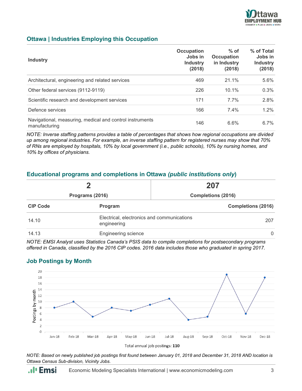

#### **Ottawa | Industries Employing this Occupation**

| <b>Industry</b>                                                           | Occupation<br>Jobs in<br><b>Industry</b><br>(2018) | $%$ of<br><b>Occupation</b><br>in Industry<br>(2018) | % of Total<br>Jobs in<br><b>Industry</b><br>(2018) |
|---------------------------------------------------------------------------|----------------------------------------------------|------------------------------------------------------|----------------------------------------------------|
| Architectural, engineering and related services                           | 469                                                | 21.1%                                                | 5.6%                                               |
| Other federal services (9112-9119)                                        | 226                                                | 10.1%                                                | 0.3%                                               |
| Scientific research and development services                              | 171                                                | $7.7\%$                                              | 2.8%                                               |
| Defence services                                                          | 166                                                | $7.4\%$                                              | $1.2\%$                                            |
| Navigational, measuring, medical and control instruments<br>manufacturing | 146                                                | 6.6%                                                 | $6.7\%$                                            |

*NOTE: Inverse staffing patterns provides a table of percentages that shows how regional occupations are divided up among regional industries. For example, an inverse staffing pattern for registered nurses may show that 70% of RNs are employed by hospitals, 10% by local government (i.e., public schools), 10% by nursing homes, and 10% by offices of physicians.*

#### **Educational programs and completions in Ottawa** *(public institutions only***)**

|                 | כי                                                        | 207                       |
|-----------------|-----------------------------------------------------------|---------------------------|
| Programs (2016) |                                                           | <b>Completions (2016)</b> |
| <b>CIP Code</b> | Program                                                   | <b>Completions (2016)</b> |
| 14.10           | Electrical, electronics and communications<br>engineering | 207                       |
| 14.13           | <b>Engineering science</b>                                | 0                         |

*NOTE: EMSI Analyst uses Statistics Canada's PSIS data to compile completions for postsecondary programs offered in Canada, classified by the 2016 CIP codes. 2016 data includes those who graduated in spring 2017.*

#### **Job Postings by Month**



*NOTE: Based on newly published job postings first found between January 01, 2018 and December 31, 2018 AND location is Ottawa Census Sub-division, Vicinity Jobs.*